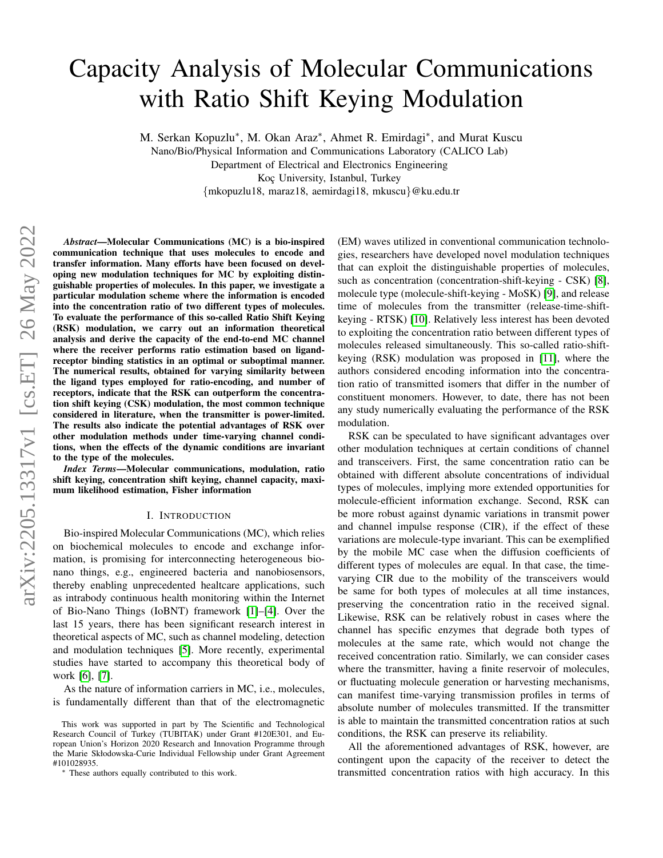# Capacity Analysis of Molecular Communications with Ratio Shift Keying Modulation

M. Serkan Kopuzlu<sup>\*</sup>, M. Okan Araz<sup>\*</sup>, Ahmet R. Emirdagi<sup>\*</sup>, and Murat Kuscu

Nano/Bio/Physical Information and Communications Laboratory (CALICO Lab)

Department of Electrical and Electronics Engineering

Koç University, Istanbul, Turkey

{mkopuzlu18, maraz18, aemirdagi18, mkuscu}@ku.edu.tr

*Abstract*—Molecular Communications (MC) is a bio-inspired communication technique that uses molecules to encode and transfer information. Many efforts have been focused on developing new modulation techniques for MC by exploiting distinguishable properties of molecules. In this paper, we investigate a particular modulation scheme where the information is encoded into the concentration ratio of two different types of molecules. To evaluate the performance of this so-called Ratio Shift Keying (RSK) modulation, we carry out an information theoretical analysis and derive the capacity of the end-to-end MC channel where the receiver performs ratio estimation based on ligandreceptor binding statistics in an optimal or suboptimal manner. The numerical results, obtained for varying similarity between the ligand types employed for ratio-encoding, and number of receptors, indicate that the RSK can outperform the concentration shift keying (CSK) modulation, the most common technique considered in literature, when the transmitter is power-limited. The results also indicate the potential advantages of RSK over other modulation methods under time-varying channel conditions, when the effects of the dynamic conditions are invariant to the type of the molecules.

*Index Terms*—Molecular communications, modulation, ratio shift keying, concentration shift keying, channel capacity, maximum likelihood estimation, Fisher information

#### I. INTRODUCTION

Bio-inspired Molecular Communications (MC), which relies on biochemical molecules to encode and exchange information, is promising for interconnecting heterogeneous bionano things, e.g., engineered bacteria and nanobiosensors, thereby enabling unprecedented healtcare applications, such as intrabody continuous health monitoring within the Internet of Bio-Nano Things (IoBNT) framework [\[1\]](#page-5-0)–[\[4\]](#page-5-1). Over the last 15 years, there has been significant research interest in theoretical aspects of MC, such as channel modeling, detection and modulation techniques [\[5\]](#page-5-2). More recently, experimental studies have started to accompany this theoretical body of work [\[6\]](#page-5-3), [\[7\]](#page-5-4).

As the nature of information carriers in MC, i.e., molecules, is fundamentally different than that of the electromagnetic

This work was supported in part by The Scientific and Technological Research Council of Turkey (TUBITAK) under Grant #120E301, and European Union's Horizon 2020 Research and Innovation Programme through the Marie Skłodowska-Curie Individual Fellowship under Grant Agreement #101028935.

<sup>∗</sup> These authors equally contributed to this work.

(EM) waves utilized in conventional communication technologies, researchers have developed novel modulation techniques that can exploit the distinguishable properties of molecules, such as concentration (concentration-shift-keying - CSK) [\[8\]](#page-5-5), molecule type (molecule-shift-keying - MoSK) [\[9\]](#page-5-6), and release time of molecules from the transmitter (release-time-shiftkeying - RTSK) [\[10\]](#page-5-7). Relatively less interest has been devoted to exploiting the concentration ratio between different types of molecules released simultaneously. This so-called ratio-shiftkeying (RSK) modulation was proposed in [\[11\]](#page-5-8), where the authors considered encoding information into the concentration ratio of transmitted isomers that differ in the number of constituent monomers. However, to date, there has not been any study numerically evaluating the performance of the RSK modulation.

RSK can be speculated to have significant advantages over other modulation techniques at certain conditions of channel and transceivers. First, the same concentration ratio can be obtained with different absolute concentrations of individual types of molecules, implying more extended opportunities for molecule-efficient information exchange. Second, RSK can be more robust against dynamic variations in transmit power and channel impulse response (CIR), if the effect of these variations are molecule-type invariant. This can be exemplified by the mobile MC case when the diffusion coefficients of different types of molecules are equal. In that case, the timevarying CIR due to the mobility of the transceivers would be same for both types of molecules at all time instances, preserving the concentration ratio in the received signal. Likewise, RSK can be relatively robust in cases where the channel has specific enzymes that degrade both types of molecules at the same rate, which would not change the received concentration ratio. Similarly, we can consider cases where the transmitter, having a finite reservoir of molecules, or fluctuating molecule generation or harvesting mechanisms, can manifest time-varying transmission profiles in terms of absolute number of molecules transmitted. If the transmitter is able to maintain the transmitted concentration ratios at such conditions, the RSK can preserve its reliability.

All the aforementioned advantages of RSK, however, are contingent upon the capacity of the receiver to detect the transmitted concentration ratios with high accuracy. In this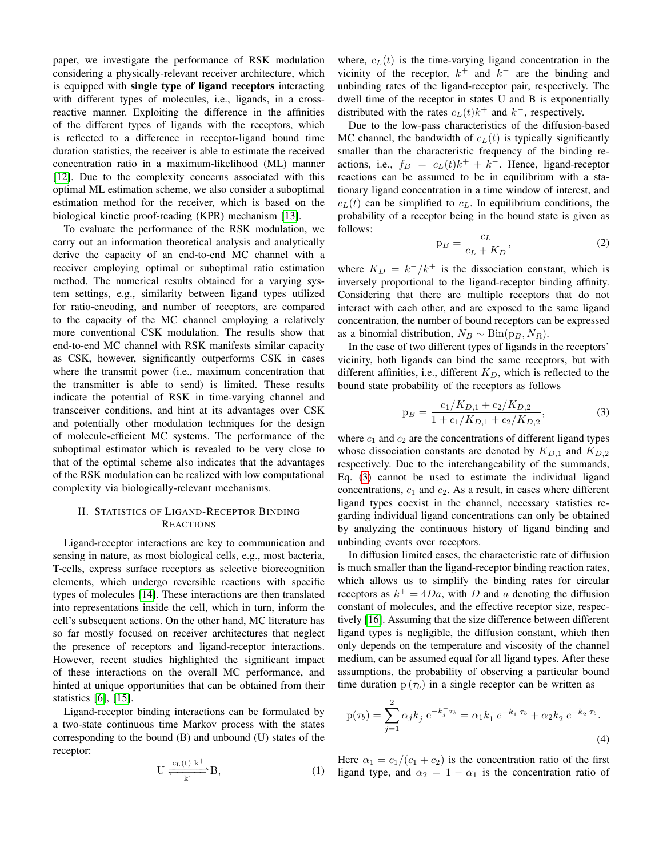paper, we investigate the performance of RSK modulation considering a physically-relevant receiver architecture, which is equipped with single type of ligand receptors interacting with different types of molecules, i.e., ligands, in a crossreactive manner. Exploiting the difference in the affinities of the different types of ligands with the receptors, which is reflected to a difference in receptor-ligand bound time duration statistics, the receiver is able to estimate the received concentration ratio in a maximum-likelihood (ML) manner [\[12\]](#page-5-9). Due to the complexity concerns associated with this optimal ML estimation scheme, we also consider a suboptimal estimation method for the receiver, which is based on the biological kinetic proof-reading (KPR) mechanism [\[13\]](#page-5-10).

To evaluate the performance of the RSK modulation, we carry out an information theoretical analysis and analytically derive the capacity of an end-to-end MC channel with a receiver employing optimal or suboptimal ratio estimation method. The numerical results obtained for a varying system settings, e.g., similarity between ligand types utilized for ratio-encoding, and number of receptors, are compared to the capacity of the MC channel employing a relatively more conventional CSK modulation. The results show that end-to-end MC channel with RSK manifests similar capacity as CSK, however, significantly outperforms CSK in cases where the transmit power (i.e., maximum concentration that the transmitter is able to send) is limited. These results indicate the potential of RSK in time-varying channel and transceiver conditions, and hint at its advantages over CSK and potentially other modulation techniques for the design of molecule-efficient MC systems. The performance of the suboptimal estimator which is revealed to be very close to that of the optimal scheme also indicates that the advantages of the RSK modulation can be realized with low computational complexity via biologically-relevant mechanisms.

## II. STATISTICS OF LIGAND-RECEPTOR BINDING **REACTIONS**

Ligand-receptor interactions are key to communication and sensing in nature, as most biological cells, e.g., most bacteria, T-cells, express surface receptors as selective biorecognition elements, which undergo reversible reactions with specific types of molecules [\[14\]](#page-5-11). These interactions are then translated into representations inside the cell, which in turn, inform the cell's subsequent actions. On the other hand, MC literature has so far mostly focused on receiver architectures that neglect the presence of receptors and ligand-receptor interactions. However, recent studies highlighted the significant impact of these interactions on the overall MC performance, and hinted at unique opportunities that can be obtained from their statistics [\[6\]](#page-5-3), [\[15\]](#page-5-12).

Ligand-receptor binding interactions can be formulated by a two-state continuous time Markov process with the states corresponding to the bound (B) and unbound (U) states of the receptor:

$$
U \xrightarrow[k]{c_L(t) k^+} B, \tag{1}
$$

where,  $c<sub>L</sub>(t)$  is the time-varying ligand concentration in the vicinity of the receptor,  $k^+$  and  $k^-$  are the binding and unbinding rates of the ligand-receptor pair, respectively. The dwell time of the receptor in states U and B is exponentially distributed with the rates  $c_L(t)k^+$  and  $k^-$ , respectively.

Due to the low-pass characteristics of the diffusion-based MC channel, the bandwidth of  $c_l(t)$  is typically significantly smaller than the characteristic frequency of the binding reactions, i.e.,  $f_B = c_L(t)k^+ + k^-$ . Hence, ligand-receptor reactions can be assumed to be in equilibrium with a stationary ligand concentration in a time window of interest, and  $c<sub>L</sub>(t)$  can be simplified to  $c<sub>L</sub>$ . In equilibrium conditions, the probability of a receptor being in the bound state is given as follows:

<span id="page-1-1"></span>
$$
p_B = \frac{c_L}{c_L + K_D},\tag{2}
$$

where  $K_D = k^-/k^+$  is the dissociation constant, which is inversely proportional to the ligand-receptor binding affinity. Considering that there are multiple receptors that do not interact with each other, and are exposed to the same ligand concentration, the number of bound receptors can be expressed as a binomial distribution,  $N_B \sim Bin(p_B, N_R)$ .

In the case of two different types of ligands in the receptors' vicinity, both ligands can bind the same receptors, but with different affinities, i.e., different  $K_D$ , which is reflected to the bound state probability of the receptors as follows

<span id="page-1-0"></span>
$$
p_B = \frac{c_1/K_{D,1} + c_2/K_{D,2}}{1 + c_1/K_{D,1} + c_2/K_{D,2}},
$$
\n(3)

where  $c_1$  and  $c_2$  are the concentrations of different ligand types whose dissociation constants are denoted by  $K_{D,1}$  and  $K_{D,2}$ respectively. Due to the interchangeability of the summands, Eq. [\(3\)](#page-1-0) cannot be used to estimate the individual ligand concentrations,  $c_1$  and  $c_2$ . As a result, in cases where different ligand types coexist in the channel, necessary statistics regarding individual ligand concentrations can only be obtained by analyzing the continuous history of ligand binding and unbinding events over receptors.

In diffusion limited cases, the characteristic rate of diffusion is much smaller than the ligand-receptor binding reaction rates, which allows us to simplify the binding rates for circular receptors as  $k^+ = 4Da$ , with D and a denoting the diffusion constant of molecules, and the effective receptor size, respectively [\[16\]](#page-5-13). Assuming that the size difference between different ligand types is negligible, the diffusion constant, which then only depends on the temperature and viscosity of the channel medium, can be assumed equal for all ligand types. After these assumptions, the probability of observing a particular bound time duration  $p(\tau_b)$  in a single receptor can be written as

$$
p(\tau_b) = \sum_{j=1}^{2} \alpha_j k_j^- e^{-k_j^- \tau_b} = \alpha_1 k_1^- e^{-k_1^- \tau_b} + \alpha_2 k_2^- e^{-k_2^- \tau_b}.
$$
\n(4)

Here  $\alpha_1 = c_1/(c_1 + c_2)$  is the concentration ratio of the first ligand type, and  $\alpha_2 = 1 - \alpha_1$  is the concentration ratio of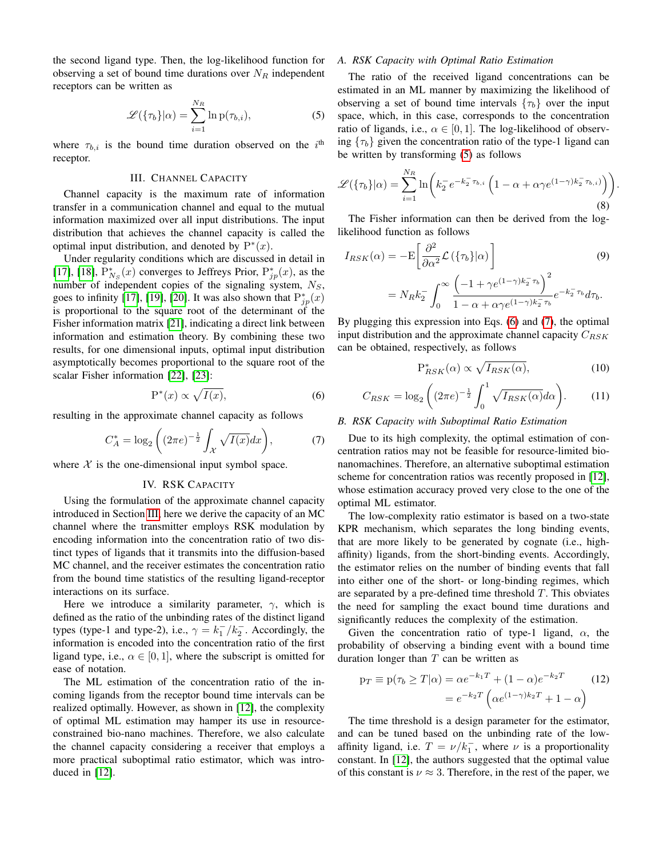the second ligand type. Then, the log-likelihood function for observing a set of bound time durations over  $N_R$  independent receptors can be written as

<span id="page-2-1"></span>
$$
\mathcal{L}(\{\tau_b\}|\alpha) = \sum_{i=1}^{N_R} \ln p(\tau_{b,i}),\tag{5}
$$

where  $\tau_{b,i}$  is the bound time duration observed on the  $i^{\text{th}}$ receptor.

### III. CHANNEL CAPACITY

<span id="page-2-0"></span>Channel capacity is the maximum rate of information transfer in a communication channel and equal to the mutual information maximized over all input distributions. The input distribution that achieves the channel capacity is called the optimal input distribution, and denoted by  $P^*(x)$ .

Under regularity conditions which are discussed in detail in [\[17\]](#page-5-14), [\[18\]](#page-5-15),  $P_{N_S}^*(x)$  converges to Jeffreys Prior,  $P_{jp}^*(x)$ , as the number of independent copies of the signaling system,  $N_S$ , goes to infinity [\[17\]](#page-5-14), [\[19\]](#page-5-16), [\[20\]](#page-5-17). It was also shown that  $P_{jp}^*(x)$ is proportional to the square root of the determinant of the Fisher information matrix [\[21\]](#page-5-18), indicating a direct link between information and estimation theory. By combining these two results, for one dimensional inputs, optimal input distribution asymptotically becomes proportional to the square root of the scalar Fisher information [\[22\]](#page-5-19), [\[23\]](#page-5-20):

<span id="page-2-2"></span>
$$
P^*(x) \propto \sqrt{I(x)},\tag{6}
$$

resulting in the approximate channel capacity as follows

<span id="page-2-3"></span>
$$
C_A^* = \log_2\left( (2\pi e)^{-\frac{1}{2}} \int_{\mathcal{X}} \sqrt{I(x)} dx \right),\tag{7}
$$

<span id="page-2-4"></span>where  $X$  is the one-dimensional input symbol space.

#### IV. RSK CAPACITY

Using the formulation of the approximate channel capacity introduced in Section [III,](#page-2-0) here we derive the capacity of an MC channel where the transmitter employs RSK modulation by encoding information into the concentration ratio of two distinct types of ligands that it transmits into the diffusion-based MC channel, and the receiver estimates the concentration ratio from the bound time statistics of the resulting ligand-receptor interactions on its surface.

Here we introduce a similarity parameter,  $\gamma$ , which is defined as the ratio of the unbinding rates of the distinct ligand types (type-1 and type-2), i.e.,  $\gamma = k_1^-/k_2^-$ . Accordingly, the information is encoded into the concentration ratio of the first ligand type, i.e.,  $\alpha \in [0, 1]$ , where the subscript is omitted for ease of notation.

The ML estimation of the concentration ratio of the incoming ligands from the receptor bound time intervals can be realized optimally. However, as shown in [\[12\]](#page-5-9), the complexity of optimal ML estimation may hamper its use in resourceconstrained bio-nano machines. Therefore, we also calculate the channel capacity considering a receiver that employs a more practical suboptimal ratio estimator, which was introduced in [\[12\]](#page-5-9).

## *A. RSK Capacity with Optimal Ratio Estimation*

The ratio of the received ligand concentrations can be estimated in an ML manner by maximizing the likelihood of observing a set of bound time intervals  $\{\tau_b\}$  over the input space, which, in this case, corresponds to the concentration ratio of ligands, i.e.,  $\alpha \in [0, 1]$ . The log-likelihood of observing  $\{\tau_b\}$  given the concentration ratio of the type-1 ligand can be written by transforming [\(5\)](#page-2-1) as follows

$$
\mathscr{L}(\{\tau_b\}|\alpha) = \sum_{i=1}^{N_R} \ln\bigg(k_2^- e^{-k_2^- \tau_{b,i}} \left(1 - \alpha + \alpha \gamma e^{(1-\gamma)k_2^- \tau_{b,i}}\right)\bigg).
$$
\n(8)

The Fisher information can then be derived from the loglikelihood function as follows

$$
I_{RSK}(\alpha) = -\mathcal{E}\left[\frac{\partial^2}{\partial \alpha^2} \mathcal{L}\left(\{\tau_b\}|\alpha\right)\right]
$$
(9)  

$$
= N_R k_2^- \int_0^\infty \frac{\left(-1 + \gamma e^{(1-\gamma)k_2^- \tau_b}\right)^2}{1 - \alpha + \alpha \gamma e^{(1-\gamma)k_2^- \tau_b}} e^{-k_2^- \tau_b} d\tau_b.
$$

By plugging this expression into Eqs. [\(6\)](#page-2-2) and [\(7\)](#page-2-3), the optimal input distribution and the approximate channel capacity  $C_{RSK}$ can be obtained, respectively, as follows

$$
P_{RSK}^{*}(\alpha) \propto \sqrt{I_{RSK}(\alpha)},\tag{10}
$$

$$
C_{RSK} = \log_2\left((2\pi e)^{-\frac{1}{2}} \int_0^1 \sqrt{I_{RSK}(\alpha)} d\alpha\right). \tag{11}
$$

#### *B. RSK Capacity with Suboptimal Ratio Estimation*

Due to its high complexity, the optimal estimation of concentration ratios may not be feasible for resource-limited bionanomachines. Therefore, an alternative suboptimal estimation scheme for concentration ratios was recently proposed in [\[12\]](#page-5-9), whose estimation accuracy proved very close to the one of the optimal ML estimator.

The low-complexity ratio estimator is based on a two-state KPR mechanism, which separates the long binding events, that are more likely to be generated by cognate (i.e., highaffinity) ligands, from the short-binding events. Accordingly, the estimator relies on the number of binding events that fall into either one of the short- or long-binding regimes, which are separated by a pre-defined time threshold  $T$ . This obviates the need for sampling the exact bound time durations and significantly reduces the complexity of the estimation.

Given the concentration ratio of type-1 ligand,  $\alpha$ , the probability of observing a binding event with a bound time duration longer than  $T$  can be written as

$$
p_T \equiv p(\tau_b \ge T | \alpha) = \alpha e^{-k_1 T} + (1 - \alpha) e^{-k_2 T}
$$
\n
$$
= e^{-k_2 T} \left( \alpha e^{(1 - \gamma)k_2 T} + 1 - \alpha \right)
$$
\n(12)

The time threshold is a design parameter for the estimator, and can be tuned based on the unbinding rate of the lowaffinity ligand, i.e.  $T = \nu / k_1^-$ , where  $\nu$  is a proportionality constant. In [\[12\]](#page-5-9), the authors suggested that the optimal value of this constant is  $\nu \approx 3$ . Therefore, in the rest of the paper, we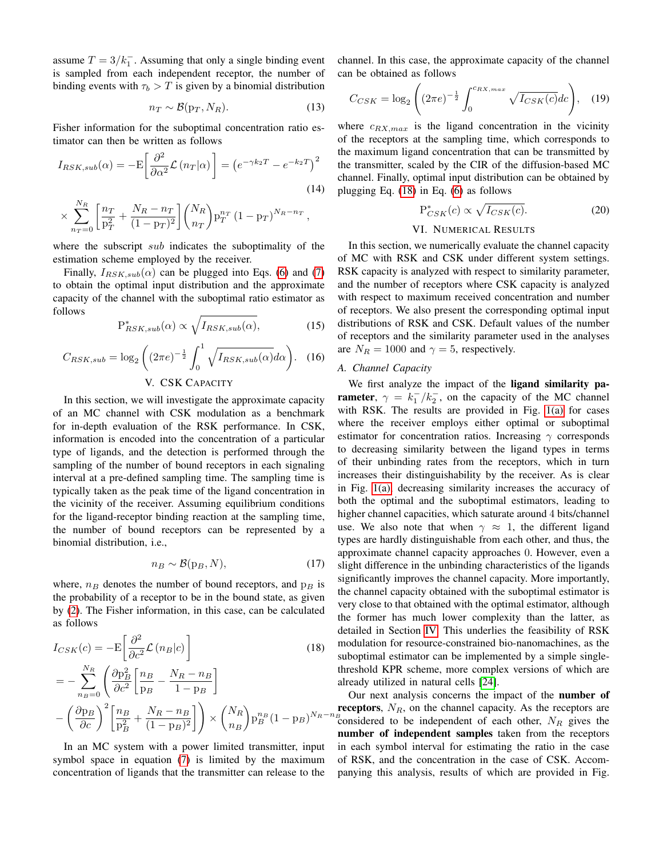assume  $T = 3/k_1^-$ . Assuming that only a single binding event is sampled from each independent receptor, the number of binding events with  $\tau_b > T$  is given by a binomial distribution

$$
n_T \sim \mathcal{B}(\mathbf{p}_T, N_R). \tag{13}
$$

Fisher information for the suboptimal concentration ratio estimator can then be written as follows

$$
I_{RSK,sub}(\alpha) = -\mathcal{E}\left[\frac{\partial^2}{\partial \alpha^2} \mathcal{L}\left(n_T|\alpha\right)\right] = \left(e^{-\gamma k_2 T} - e^{-k_2 T}\right)^2\tag{14}
$$

$$
\times \sum_{n_T=0}^{N_R} \left[ \frac{n_T}{p_T^2} + \frac{N_R - n_T}{(1 - p_T)^2} \right] \binom{N_R}{n_T} p_T^{n_T} (1 - p_T)^{N_R - n_T},
$$

where the subscript *sub* indicates the suboptimality of the estimation scheme employed by the receiver.

Finally,  $I_{RSK,sub}(\alpha)$  can be plugged into Eqs. [\(6\)](#page-2-2) and [\(7\)](#page-2-3) to obtain the optimal input distribution and the approximate capacity of the channel with the suboptimal ratio estimator as follows

$$
P_{RSK,sub}^{*}(\alpha) \propto \sqrt{I_{RSK,sub}(\alpha)},\tag{15}
$$

$$
C_{RSK,sub} = \log_2\left((2\pi e)^{-\frac{1}{2}} \int_0^1 \sqrt{I_{RSK,sub}(\alpha)} d\alpha\right). \quad (16)
$$

#### V. CSK CAPACITY

In this section, we will investigate the approximate capacity of an MC channel with CSK modulation as a benchmark for in-depth evaluation of the RSK performance. In CSK, information is encoded into the concentration of a particular type of ligands, and the detection is performed through the sampling of the number of bound receptors in each signaling interval at a pre-defined sampling time. The sampling time is typically taken as the peak time of the ligand concentration in the vicinity of the receiver. Assuming equilibrium conditions for the ligand-receptor binding reaction at the sampling time, the number of bound receptors can be represented by a binomial distribution, i.e.,

$$
n_B \sim \mathcal{B}(\mathbf{p}_B, N),\tag{17}
$$

where,  $n_B$  denotes the number of bound receptors, and  $p_B$  is the probability of a receptor to be in the bound state, as given by [\(2\)](#page-1-1). The Fisher information, in this case, can be calculated as follows

$$
I_{CSK}(c) = -\mathcal{E}\left[\frac{\partial^2}{\partial c^2} \mathcal{L}\left(n_B|c\right)\right]
$$
(18)  

$$
= -\sum_{n_B=0}^{N_R} \left(\frac{\partial \mathbf{p}_B^2}{\partial c^2} \left[\frac{n_B}{p_B} - \frac{N_R - n_B}{1 - p_B}\right]\right)
$$

$$
-\left(\frac{\partial \mathbf{p}_B}{\partial c}\right)^2 \left[\frac{n_B}{\mathbf{p}_B^2} + \frac{N_R - n_B}{(1 - p_B)^2}\right] \times \left(\frac{N_R}{n_B}\right) \mathbf{p}_B^{n_B} (1 - p_B)^{N_R - n_B}
$$

In an MC system with a power limited transmitter, input symbol space in equation [\(7\)](#page-2-3) is limited by the maximum concentration of ligands that the transmitter can release to the channel. In this case, the approximate capacity of the channel can be obtained as follows

$$
C_{CSK} = \log_2\left( (2\pi e)^{-\frac{1}{2}} \int_0^{c_{RX,max}} \sqrt{I_{CSK}(c)} dc \right), \quad (19)
$$

where  $c_{RX,max}$  is the ligand concentration in the vicinity of the receptors at the sampling time, which corresponds to the maximum ligand concentration that can be transmitted by the transmitter, scaled by the CIR of the diffusion-based MC channel. Finally, optimal input distribution can be obtained by plugging Eq. [\(18\)](#page-3-0) in Eq. [\(6\)](#page-2-2) as follows

$$
P_{CSK}^*(c) \propto \sqrt{I_{CSK}(c)}.
$$
 (20)

### VI. NUMERICAL RESULTS

In this section, we numerically evaluate the channel capacity of MC with RSK and CSK under different system settings. RSK capacity is analyzed with respect to similarity parameter, and the number of receptors where CSK capacity is analyzed with respect to maximum received concentration and number of receptors. We also present the corresponding optimal input distributions of RSK and CSK. Default values of the number of receptors and the similarity parameter used in the analyses are  $N_R = 1000$  and  $\gamma = 5$ , respectively.

## *A. Channel Capacity*

We first analyze the impact of the ligand similarity pa**rameter**,  $\gamma = k_1^-/k_2^-$ , on the capacity of the MC channel with RSK. The results are provided in Fig. [1\(a\)](#page-4-0) for cases where the receiver employs either optimal or suboptimal estimator for concentration ratios. Increasing  $\gamma$  corresponds to decreasing similarity between the ligand types in terms of their unbinding rates from the receptors, which in turn increases their distinguishability by the receiver. As is clear in Fig. [1\(a\),](#page-4-0) decreasing similarity increases the accuracy of both the optimal and the suboptimal estimators, leading to higher channel capacities, which saturate around 4 bits/channel use. We also note that when  $\gamma \approx 1$ , the different ligand types are hardly distinguishable from each other, and thus, the approximate channel capacity approaches 0. However, even a slight difference in the unbinding characteristics of the ligands significantly improves the channel capacity. More importantly, the channel capacity obtained with the suboptimal estimator is very close to that obtained with the optimal estimator, although the former has much lower complexity than the latter, as detailed in Section [IV.](#page-2-4) This underlies the feasibility of RSK modulation for resource-constrained bio-nanomachines, as the suboptimal estimator can be implemented by a simple singlethreshold KPR scheme, more complex versions of which are already utilized in natural cells [\[24\]](#page-5-21).

<span id="page-3-0"></span> $N_R-n_B$  considered to be independent of each other,  $N_R$  gives the Our next analysis concerns the impact of the number of receptors,  $N_R$ , on the channel capacity. As the receptors are number of independent samples taken from the receptors in each symbol interval for estimating the ratio in the case of RSK, and the concentration in the case of CSK. Accompanying this analysis, results of which are provided in Fig.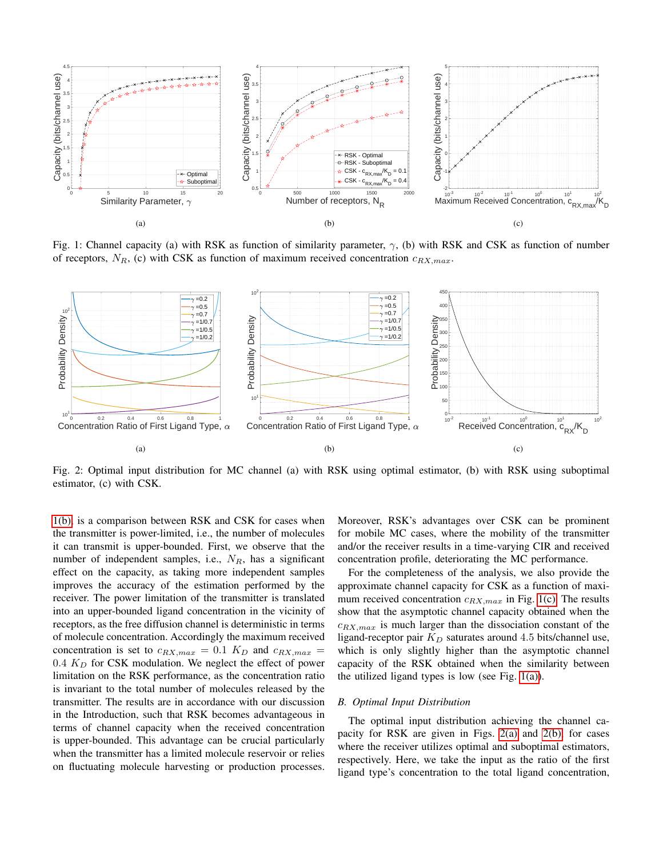<span id="page-4-0"></span>

<span id="page-4-1"></span>Fig. 1: Channel capacity (a) with RSK as function of similarity parameter,  $\gamma$ , (b) with RSK and CSK as function of number of receptors,  $N_R$ , (c) with CSK as function of maximum received concentration  $c_{RX,max}$ .

<span id="page-4-3"></span>

Fig. 2: Optimal input distribution for MC channel (a) with RSK using optimal estimator, (b) with RSK using suboptimal estimator, (c) with CSK.

[1\(b\),](#page-4-1) is a comparison between RSK and CSK for cases when the transmitter is power-limited, i.e., the number of molecules it can transmit is upper-bounded. First, we observe that the number of independent samples, i.e.,  $N_R$ , has a significant effect on the capacity, as taking more independent samples improves the accuracy of the estimation performed by the receiver. The power limitation of the transmitter is translated into an upper-bounded ligand concentration in the vicinity of receptors, as the free diffusion channel is deterministic in terms of molecule concentration. Accordingly the maximum received concentration is set to  $c_{RX,max} = 0.1 K_D$  and  $c_{RX,max} =$  $0.4 K<sub>D</sub>$  for CSK modulation. We neglect the effect of power limitation on the RSK performance, as the concentration ratio is invariant to the total number of molecules released by the transmitter. The results are in accordance with our discussion in the Introduction, such that RSK becomes advantageous in terms of channel capacity when the received concentration is upper-bounded. This advantage can be crucial particularly when the transmitter has a limited molecule reservoir or relies on fluctuating molecule harvesting or production processes. <span id="page-4-5"></span><span id="page-4-4"></span><span id="page-4-2"></span>Moreover, RSK's advantages over CSK can be prominent for mobile MC cases, where the mobility of the transmitter and/or the receiver results in a time-varying CIR and received concentration profile, deteriorating the MC performance.

For the completeness of the analysis, we also provide the approximate channel capacity for CSK as a function of maximum received concentration  $c_{RX,max}$  in Fig. [1\(c\).](#page-4-2) The results show that the asymptotic channel capacity obtained when the  $c_{RX,max}$  is much larger than the dissociation constant of the ligand-receptor pair  $K_D$  saturates around 4.5 bits/channel use, which is only slightly higher than the asymptotic channel capacity of the RSK obtained when the similarity between the utilized ligand types is low (see Fig.  $1(a)$ ).

## *B. Optimal Input Distribution*

The optimal input distribution achieving the channel capacity for RSK are given in Figs. [2\(a\)](#page-4-3) and [2\(b\),](#page-4-4) for cases where the receiver utilizes optimal and suboptimal estimators, respectively. Here, we take the input as the ratio of the first ligand type's concentration to the total ligand concentration,